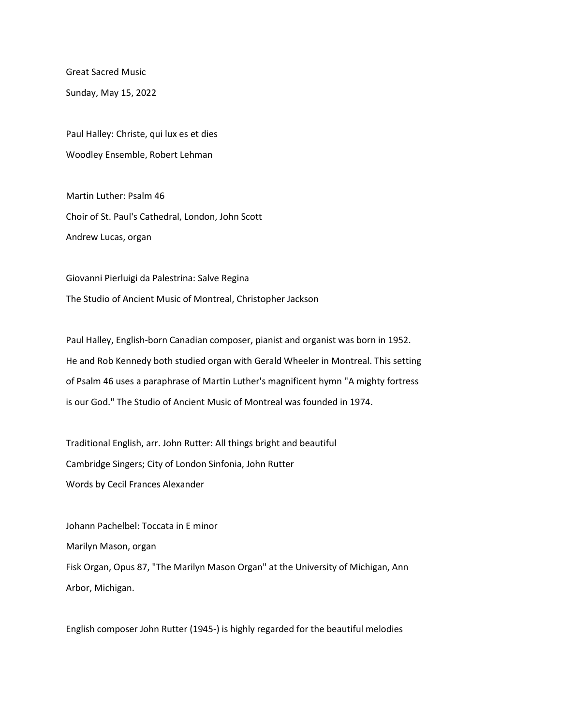Great Sacred Music

Sunday, May 15, 2022

Paul Halley: Christe, qui lux es et dies Woodley Ensemble, Robert Lehman

Martin Luther: Psalm 46 Choir of St. Paul's Cathedral, London, John Scott Andrew Lucas, organ

Giovanni Pierluigi da Palestrina: Salve Regina The Studio of Ancient Music of Montreal, Christopher Jackson

Paul Halley, English-born Canadian composer, pianist and organist was born in 1952. He and Rob Kennedy both studied organ with Gerald Wheeler in Montreal. This setting of Psalm 46 uses a paraphrase of Martin Luther's magnificent hymn "A mighty fortress is our God." The Studio of Ancient Music of Montreal was founded in 1974.

Traditional English, arr. John Rutter: All things bright and beautiful Cambridge Singers; City of London Sinfonia, John Rutter Words by Cecil Frances Alexander

Johann Pachelbel: Toccata in E minor Marilyn Mason, organ Fisk Organ, Opus 87, "The Marilyn Mason Organ" at the University of Michigan, Ann Arbor, Michigan.

English composer John Rutter (1945-) is highly regarded for the beautiful melodies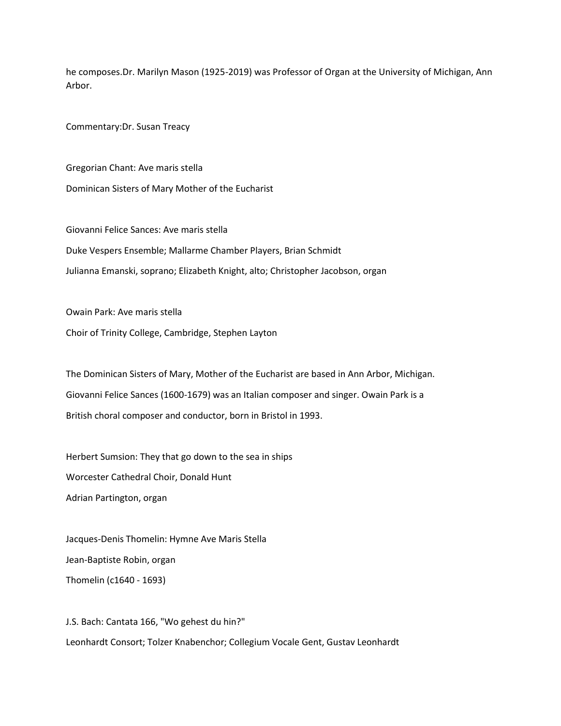he composes.Dr. Marilyn Mason (1925-2019) was Professor of Organ at the University of Michigan, Ann Arbor.

Commentary:Dr. Susan Treacy

Gregorian Chant: Ave maris stella Dominican Sisters of Mary Mother of the Eucharist

Giovanni Felice Sances: Ave maris stella Duke Vespers Ensemble; Mallarme Chamber Players, Brian Schmidt Julianna Emanski, soprano; Elizabeth Knight, alto; Christopher Jacobson, organ

Owain Park: Ave maris stella

Choir of Trinity College, Cambridge, Stephen Layton

The Dominican Sisters of Mary, Mother of the Eucharist are based in Ann Arbor, Michigan. Giovanni Felice Sances (1600-1679) was an Italian composer and singer. Owain Park is a British choral composer and conductor, born in Bristol in 1993.

Herbert Sumsion: They that go down to the sea in ships Worcester Cathedral Choir, Donald Hunt Adrian Partington, organ

Jacques-Denis Thomelin: Hymne Ave Maris Stella Jean-Baptiste Robin, organ Thomelin (c1640 - 1693)

J.S. Bach: Cantata 166, "Wo gehest du hin?" Leonhardt Consort; Tolzer Knabenchor; Collegium Vocale Gent, Gustav Leonhardt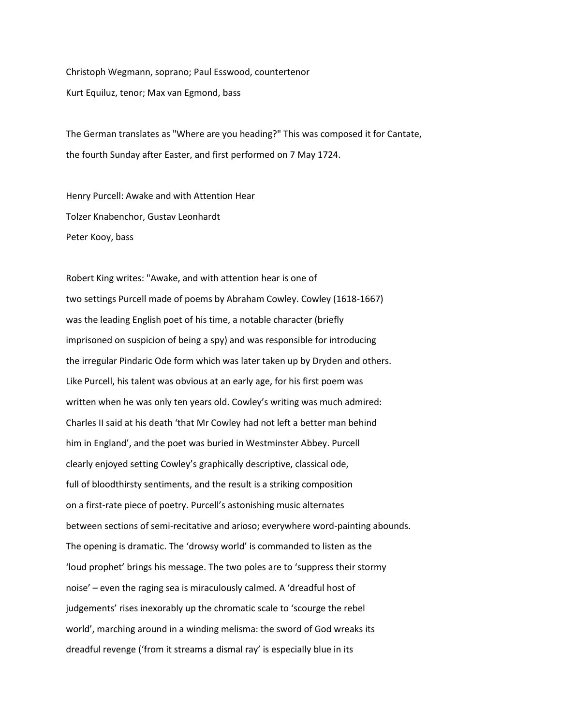Christoph Wegmann, soprano; Paul Esswood, countertenor Kurt Equiluz, tenor; Max van Egmond, bass

The German translates as "Where are you heading?" This was composed it for Cantate, the fourth Sunday after Easter, and first performed on 7 May 1724.

Henry Purcell: Awake and with Attention Hear Tolzer Knabenchor, Gustav Leonhardt Peter Kooy, bass

Robert King writes: "Awake, and with attention hear is one of two settings Purcell made of poems by Abraham Cowley. Cowley (1618-1667) was the leading English poet of his time, a notable character (briefly imprisoned on suspicion of being a spy) and was responsible for introducing the irregular Pindaric Ode form which was later taken up by Dryden and others. Like Purcell, his talent was obvious at an early age, for his first poem was written when he was only ten years old. Cowley's writing was much admired: Charles II said at his death 'that Mr Cowley had not left a better man behind him in England', and the poet was buried in Westminster Abbey. Purcell clearly enjoyed setting Cowley's graphically descriptive, classical ode, full of bloodthirsty sentiments, and the result is a striking composition on a first-rate piece of poetry. Purcell's astonishing music alternates between sections of semi-recitative and arioso; everywhere word-painting abounds. The opening is dramatic. The 'drowsy world' is commanded to listen as the 'loud prophet' brings his message. The two poles are to 'suppress their stormy noise' – even the raging sea is miraculously calmed. A 'dreadful host of judgements' rises inexorably up the chromatic scale to 'scourge the rebel world', marching around in a winding melisma: the sword of God wreaks its dreadful revenge ('from it streams a dismal ray' is especially blue in its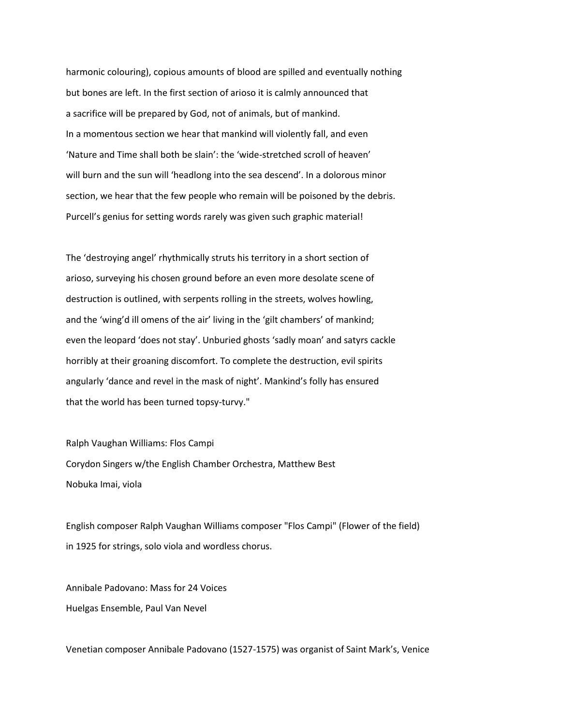harmonic colouring), copious amounts of blood are spilled and eventually nothing but bones are left. In the first section of arioso it is calmly announced that a sacrifice will be prepared by God, not of animals, but of mankind. In a momentous section we hear that mankind will violently fall, and even 'Nature and Time shall both be slain': the 'wide-stretched scroll of heaven' will burn and the sun will 'headlong into the sea descend'. In a dolorous minor section, we hear that the few people who remain will be poisoned by the debris. Purcell's genius for setting words rarely was given such graphic material!

The 'destroying angel' rhythmically struts his territory in a short section of arioso, surveying his chosen ground before an even more desolate scene of destruction is outlined, with serpents rolling in the streets, wolves howling, and the 'wing'd ill omens of the air' living in the 'gilt chambers' of mankind; even the leopard 'does not stay'. Unburied ghosts 'sadly moan' and satyrs cackle horribly at their groaning discomfort. To complete the destruction, evil spirits angularly 'dance and revel in the mask of night'. Mankind's folly has ensured that the world has been turned topsy-turvy."

Ralph Vaughan Williams: Flos Campi Corydon Singers w/the English Chamber Orchestra, Matthew Best Nobuka Imai, viola

English composer Ralph Vaughan Williams composer "Flos Campi" (Flower of the field) in 1925 for strings, solo viola and wordless chorus.

Annibale Padovano: Mass for 24 Voices Huelgas Ensemble, Paul Van Nevel

Venetian composer Annibale Padovano (1527-1575) was organist of Saint Mark's, Venice